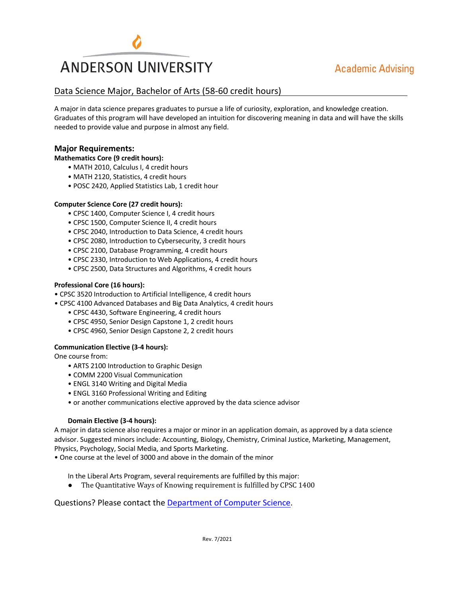

## Data Science Major, Bachelor of Arts (58-60 credit hours)

A major in data science prepares graduates to pursue a life of curiosity, exploration, and knowledge creation. Graduates of this program will have developed an intuition for discovering meaning in data and will have the skills needed to provide value and purpose in almost any field.

### **Major Requirements:**

**Mathematics Core (9 credit hours):**

- MATH 2010, Calculus I, 4 credit hours
- MATH 2120, Statistics, 4 credit hours
- POSC 2420, Applied Statistics Lab, 1 credit hour

#### **Computer Science Core (27 credit hours):**

- CPSC 1400, Computer Science I, 4 credit hours
- CPSC 1500, Computer Science II, 4 credit hours
- CPSC 2040, Introduction to Data Science, 4 credit hours
- CPSC 2080, Introduction to Cybersecurity, 3 credit hours
- CPSC 2100, Database Programming, 4 credit hours
- CPSC 2330, Introduction to Web Applications, 4 credit hours
- CPSC 2500, Data Structures and Algorithms, 4 credit hours

#### **Professional Core (16 hours):**

- CPSC 3520 Introduction to Artificial Intelligence, 4 credit hours
- CPSC 4100 Advanced Databases and Big Data Analytics, 4 credit hours
	- CPSC 4430, Software Engineering, 4 credit hours
	- CPSC 4950, Senior Design Capstone 1, 2 credit hours
	- CPSC 4960, Senior Design Capstone 2, 2 credit hours

#### **Communication Elective (3-4 hours):**

One course from:

- ARTS 2100 Introduction to Graphic Design
- COMM 2200 Visual Communication
- ENGL 3140 Writing and Digital Media
- ENGL 3160 Professional Writing and Editing
- or another communications elective approved by the data science advisor

#### **Domain Elective (3-4 hours):**

A major in data science also requires a major or minor in an application domain, as approved by a data science advisor. Suggested minors include: Accounting, Biology, Chemistry, Criminal Justice, Marketing, Management, Physics, Psychology, Social Media, and Sports Marketing.

• One course at the level of 3000 and above in the domain of the minor

In the Liberal Arts Program, several requirements are fulfilled by this major:

• The Quantitative Ways of Knowing requirement is fulfilled by CPSC 1400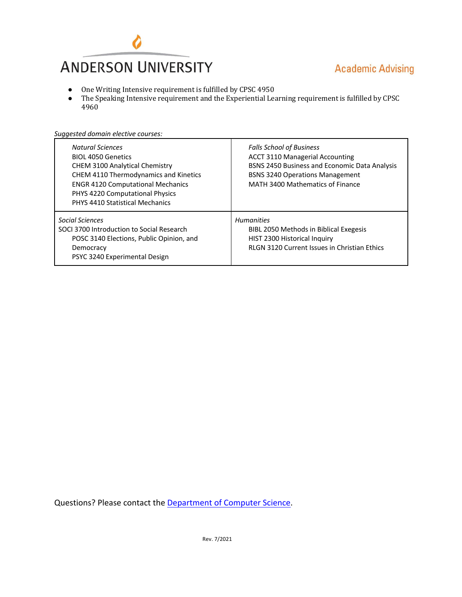

- One Writing Intensive requirement is fulfilled by CPSC 4950
- The Speaking Intensive requirement and the Experiential Learning requirement is fulfilled by CPSC 4960

| <b>Natural Sciences</b><br><b>BIOL 4050 Genetics</b><br><b>CHEM 3100 Analytical Chemistry</b><br>CHEM 4110 Thermodynamics and Kinetics<br><b>ENGR 4120 Computational Mechanics</b><br>PHYS 4220 Computational Physics | <b>Falls School of Business</b><br><b>ACCT 3110 Managerial Accounting</b><br>BSNS 2450 Business and Economic Data Analysis<br><b>BSNS 3240 Operations Management</b><br>MATH 3400 Mathematics of Finance |
|-----------------------------------------------------------------------------------------------------------------------------------------------------------------------------------------------------------------------|----------------------------------------------------------------------------------------------------------------------------------------------------------------------------------------------------------|
| <b>PHYS 4410 Statistical Mechanics</b>                                                                                                                                                                                |                                                                                                                                                                                                          |
|                                                                                                                                                                                                                       |                                                                                                                                                                                                          |
| Social Sciences<br>SOCI 3700 Introduction to Social Research<br>POSC 3140 Elections, Public Opinion, and<br>Democracy<br>PSYC 3240 Experimental Design                                                                | <b>Humanities</b><br>BIBL 2050 Methods in Biblical Exegesis<br>HIST 2300 Historical Inquiry<br><b>RLGN 3120 Current Issues in Christian Ethics</b>                                                       |

*Suggested domain elective courses:*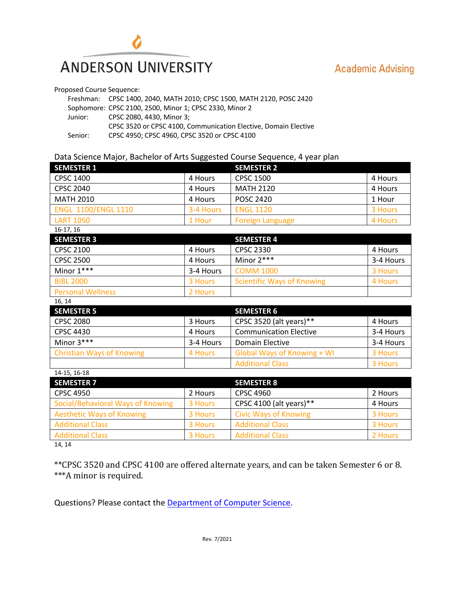

Proposed Course Sequence:

|         | Freshman: CPSC 1400, 2040, MATH 2010; CPSC 1500, MATH 2120, POSC 2420 |
|---------|-----------------------------------------------------------------------|
|         | Sophomore: CPSC 2100, 2500, Minor 1; CPSC 2330, Minor 2               |
| Junior: | CPSC 2080, 4430, Minor 3;                                             |
|         | CPSC 3520 or CPSC 4100, Communication Elective, Domain Elective       |
| Senior: | CPSC 4950: CPSC 4960. CPSC 3520 or CPSC 4100                          |

### Data Science Major, Bachelor of Arts Suggested Course Sequence, 4 year plan

| <b>SEMESTER 1</b>                 |           | <b>SEMESTER 2</b>                       |           |
|-----------------------------------|-----------|-----------------------------------------|-----------|
| <b>CPSC 1400</b>                  | 4 Hours   | <b>CPSC 1500</b>                        | 4 Hours   |
| <b>CPSC 2040</b>                  | 4 Hours   | <b>MATH 2120</b>                        | 4 Hours   |
| <b>MATH 2010</b>                  | 4 Hours   | <b>POSC 2420</b>                        | 1 Hour    |
| <b>ENGL 1100/ENGL 1110</b>        | 3-4 Hours | <b>ENGL 1120</b>                        | 3 Hours   |
| <b>LART 1050</b>                  | 1 Hour    | <b>Foreign Language</b>                 | 4 Hours   |
| 16-17, 16                         |           |                                         |           |
| <b>SEMESTER 3</b>                 |           | <b>SEMESTER 4</b>                       |           |
| <b>CPSC 2100</b>                  | 4 Hours   | <b>CPSC 2330</b>                        | 4 Hours   |
| <b>CPSC 2500</b>                  | 4 Hours   | Minor $2***$                            | 3-4 Hours |
| Minor 1***                        | 3-4 Hours | <b>COMM 1000</b>                        | 3 Hours   |
| <b>BIBL 2000</b>                  | 3 Hours   | <b>Scientific Ways of Knowing</b>       | 4 Hours   |
| <b>Personal Wellness</b>          | 2 Hours   |                                         |           |
| 16, 14                            |           |                                         |           |
| <b>SEMESTER 5</b>                 |           | <b>SEMESTER 6</b>                       |           |
| <b>CPSC 2080</b>                  | 3 Hours   | CPSC 3520 (alt years)**                 | 4 Hours   |
| <b>CPSC 4430</b>                  | 4 Hours   | <b>Communication Elective</b>           | 3-4 Hours |
| Minor 3***                        | 3-4 Hours | <b>Domain Elective</b>                  | 3-4 Hours |
| <b>Christian Ways of Knowing</b>  | 4 Hours   | <b>Global Ways of Knowing + WI</b>      | 3 Hours   |
|                                   |           | <b>Additional Class</b>                 | 3 Hours   |
| 14-15, 16-18                      |           |                                         |           |
| <b>SEMESTER 7</b>                 |           | <b>SEMESTER 8</b>                       |           |
| <b>CPSC 4950</b>                  | 2 Hours   | <b>CPSC 4960</b>                        | 2 Hours   |
| Social/Behavioral Ways of Knowing | 3 Hours   | CPSC 4100 (alt years)**<br>4 Hours      |           |
| <b>Aesthetic Ways of Knowing</b>  | 3 Hours   | <b>Civic Ways of Knowing</b><br>3 Hours |           |

Additional Class **3 Hours** 3 Hours Additional Class 2 Hours

14, 14

\*\*CPSC 3520 and CPSC 4100 are offered alternate years, and can be taken Semester 6 or 8. \*\*\*A minor is required.

Additional Class **3 Hours** 3 Hours Additional Class 3 Hours 3 Hours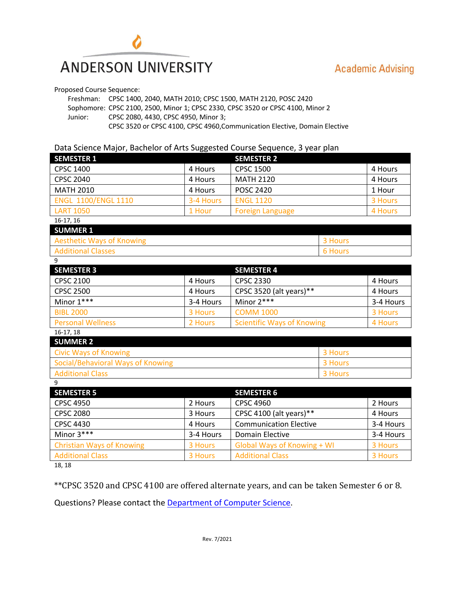

Proposed Course Sequence:

Freshman: CPSC 1400, 2040, MATH 2010; CPSC 1500, MATH 2120, POSC 2420 Sophomore: CPSC 2100, 2500, Minor 1; CPSC 2330, CPSC 3520 or CPSC 4100, Minor 2 Junior: CPSC 2080, 4430, CPSC 4950, Minor 3;

CPSC 3520 or CPSC 4100, CPSC 4960,Communication Elective, Domain Elective

## Data Science Major, Bachelor of Arts Suggested Course Sequence, 3 year plan

| <b>SEMESTER 1</b>                 |           | <b>SEMESTER 2</b>                 |         |           |
|-----------------------------------|-----------|-----------------------------------|---------|-----------|
| <b>CPSC 1400</b>                  | 4 Hours   | <b>CPSC 1500</b>                  |         | 4 Hours   |
| <b>CPSC 2040</b>                  | 4 Hours   | <b>MATH 2120</b>                  |         | 4 Hours   |
| <b>MATH 2010</b>                  | 4 Hours   | <b>POSC 2420</b>                  |         |           |
| <b>ENGL 1100/ENGL 1110</b>        | 3-4 Hours | <b>ENGL 1120</b>                  |         | 3 Hours   |
| <b>LART 1050</b>                  | 1 Hour    | <b>Foreign Language</b>           |         | 4 Hours   |
| 16-17, 16                         |           |                                   |         |           |
| <b>SUMMER 1</b>                   |           |                                   |         |           |
| <b>Aesthetic Ways of Knowing</b>  |           |                                   | 3 Hours |           |
| <b>Additional Classes</b>         |           |                                   | 6 Hours |           |
| 9                                 |           |                                   |         |           |
| <b>SEMESTER 3</b>                 |           | <b>SEMESTER 4</b>                 |         |           |
| <b>CPSC 2100</b>                  | 4 Hours   | <b>CPSC 2330</b>                  |         | 4 Hours   |
| <b>CPSC 2500</b>                  | 4 Hours   | CPSC 3520 (alt years)**           |         | 4 Hours   |
| Minor 1***                        | 3-4 Hours | Minor 2***                        |         | 3-4 Hours |
| <b>BIBL 2000</b>                  | 3 Hours   | <b>COMM 1000</b>                  |         | 3 Hours   |
| <b>Personal Wellness</b>          | 2 Hours   | <b>Scientific Ways of Knowing</b> |         | 4 Hours   |
| 16-17, 18                         |           |                                   |         |           |
| <b>SUMMER 2</b>                   |           |                                   |         |           |
| <b>Civic Ways of Knowing</b>      |           | 3 Hours                           |         |           |
| Social/Behavioral Ways of Knowing |           |                                   | 3 Hours |           |
| <b>Additional Class</b>           |           | 3 Hours                           |         |           |
| 9                                 |           |                                   |         |           |
| <b>SEMESTER 5</b>                 |           | <b>SEMESTER 6</b>                 |         |           |
| <b>CPSC 4950</b>                  | 2 Hours   | <b>CPSC 4960</b>                  |         | 2 Hours   |
| <b>CPSC 2080</b>                  | 3 Hours   | CPSC 4100 (alt years)**           |         | 4 Hours   |
| <b>CPSC 4430</b>                  | 4 Hours   | <b>Communication Elective</b>     |         | 3-4 Hours |
| Minor 3***                        | 3-4 Hours | <b>Domain Elective</b>            |         | 3-4 Hours |

18, 18

\*\*CPSC 3520 and CPSC 4100 are offered alternate years, and can be taken Semester 6 or 8.

Christian Ways of Knowing **3 Hours** Global Ways of Knowing + WI 3 Hours Additional Class **3 Hours** 3 Hours Additional Class 3 Hours 3 Hours